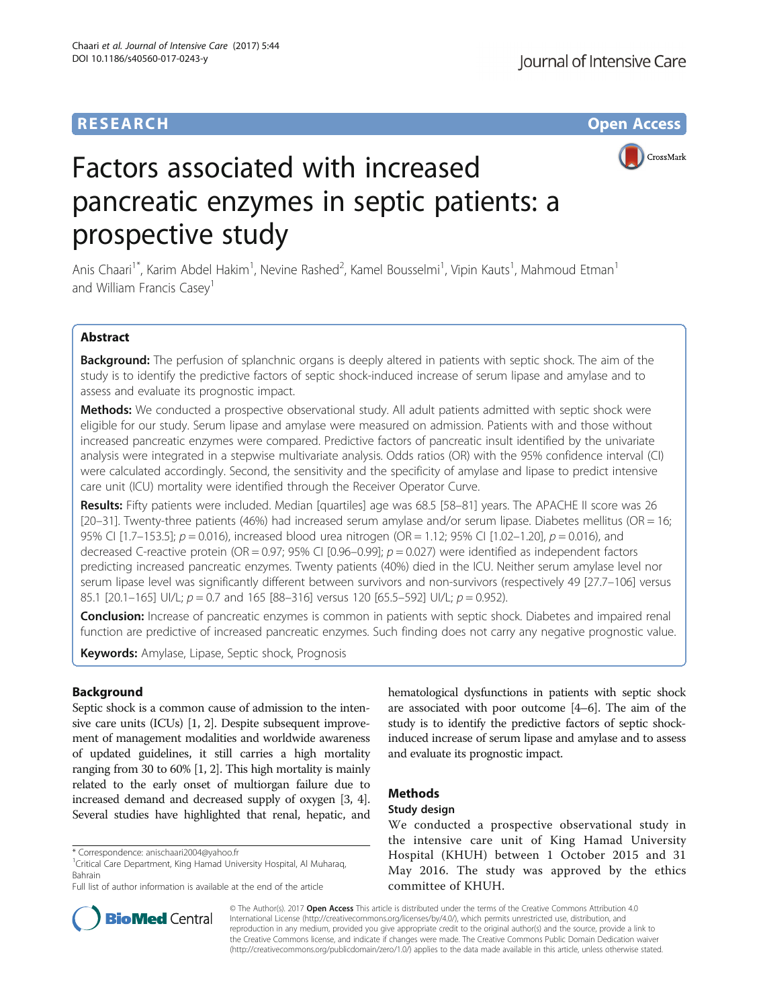# **RESEARCH CHINESE ARCH CHINESE ARCH CHINESE ARCH**



# Factors associated with increased pancreatic enzymes in septic patients: a prospective study

Anis Chaari<sup>1\*</sup>, Karim Abdel Hakim<sup>1</sup>, Nevine Rashed<sup>2</sup>, Kamel Bousselmi<sup>1</sup>, Vipin Kauts<sup>1</sup>, Mahmoud Etman<sup>1</sup> and William Francis Casey<sup>1</sup>

# Abstract

Background: The perfusion of splanchnic organs is deeply altered in patients with septic shock. The aim of the study is to identify the predictive factors of septic shock-induced increase of serum lipase and amylase and to assess and evaluate its prognostic impact.

Methods: We conducted a prospective observational study. All adult patients admitted with septic shock were eligible for our study. Serum lipase and amylase were measured on admission. Patients with and those without increased pancreatic enzymes were compared. Predictive factors of pancreatic insult identified by the univariate analysis were integrated in a stepwise multivariate analysis. Odds ratios (OR) with the 95% confidence interval (CI) were calculated accordingly. Second, the sensitivity and the specificity of amylase and lipase to predict intensive care unit (ICU) mortality were identified through the Receiver Operator Curve.

Results: Fifty patients were included. Median [quartiles] age was 68.5 [58-81] years. The APACHE II score was 26 [20–31]. Twenty-three patients (46%) had increased serum amylase and/or serum lipase. Diabetes mellitus (OR = 16; 95% CI [1.7–153.5];  $p = 0.016$ ), increased blood urea nitrogen (OR = 1.12; 95% CI [1.02–1.20],  $p = 0.016$ ), and decreased C-reactive protein (OR = 0.97; 95% CI [0.96–0.99];  $p = 0.027$ ) were identified as independent factors predicting increased pancreatic enzymes. Twenty patients (40%) died in the ICU. Neither serum amylase level nor serum lipase level was significantly different between survivors and non-survivors (respectively 49 [27.7–106] versus 85.1 [20.1-165] UI/L; p = 0.7 and 165 [88-316] versus 120 [65.5-592] UI/L; p = 0.952).

**Conclusion:** Increase of pancreatic enzymes is common in patients with septic shock. Diabetes and impaired renal function are predictive of increased pancreatic enzymes. Such finding does not carry any negative prognostic value.

Keywords: Amylase, Lipase, Septic shock, Prognosis

# Background

Septic shock is a common cause of admission to the intensive care units (ICUs) [\[1](#page-5-0), [2](#page-5-0)]. Despite subsequent improvement of management modalities and worldwide awareness of updated guidelines, it still carries a high mortality ranging from 30 to 60% [\[1](#page-5-0), [2](#page-5-0)]. This high mortality is mainly related to the early onset of multiorgan failure due to increased demand and decreased supply of oxygen [\[3, 4](#page-5-0)]. Several studies have highlighted that renal, hepatic, and hematological dysfunctions in patients with septic shock are associated with poor outcome [\[4](#page-5-0)–[6](#page-5-0)]. The aim of the study is to identify the predictive factors of septic shockinduced increase of serum lipase and amylase and to assess and evaluate its prognostic impact.

## Methods Study design

We conducted a prospective observational study in the intensive care unit of King Hamad University Hospital (KHUH) between 1 October 2015 and 31 May 2016. The study was approved by the ethics committee of KHUH.



© The Author(s). 2017 Open Access This article is distributed under the terms of the Creative Commons Attribution 4.0 International License [\(http://creativecommons.org/licenses/by/4.0/](http://creativecommons.org/licenses/by/4.0/)), which permits unrestricted use, distribution, and reproduction in any medium, provided you give appropriate credit to the original author(s) and the source, provide a link to the Creative Commons license, and indicate if changes were made. The Creative Commons Public Domain Dedication waiver [\(http://creativecommons.org/publicdomain/zero/1.0/](http://creativecommons.org/publicdomain/zero/1.0/)) applies to the data made available in this article, unless otherwise stated.

<sup>\*</sup> Correspondence: [anischaari2004@yahoo.fr](mailto:anischaari2004@yahoo.fr) <sup>1</sup>

<sup>&</sup>lt;sup>1</sup> Critical Care Department, King Hamad University Hospital, Al Muharaq, Bahrain

Full list of author information is available at the end of the article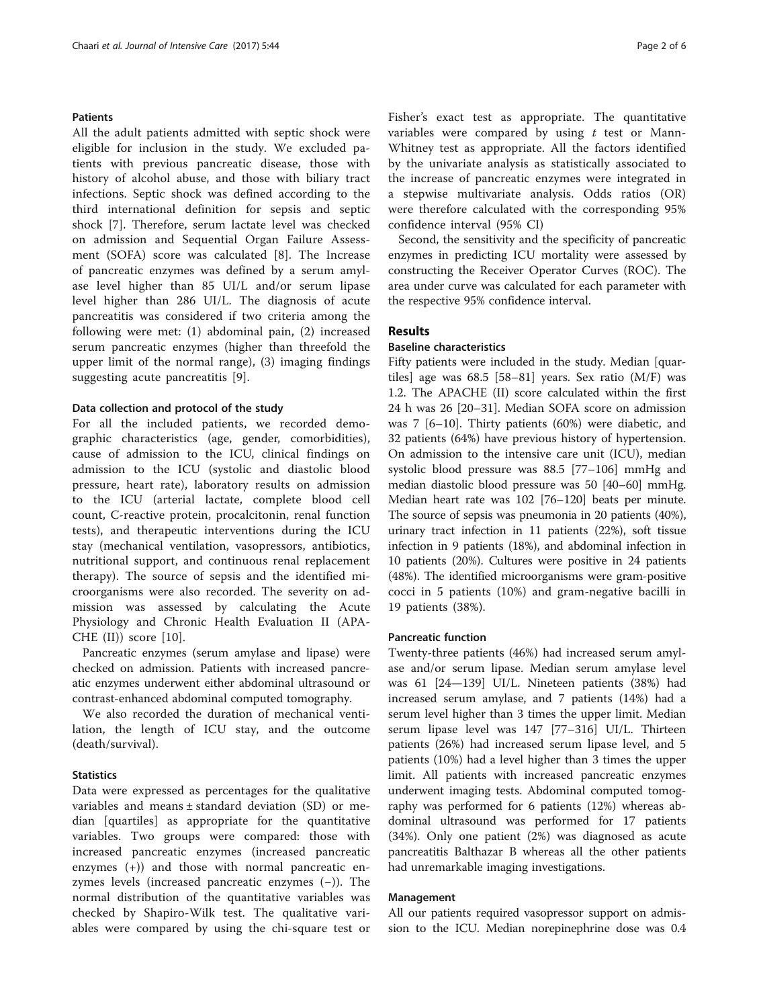# Patients

All the adult patients admitted with septic shock were eligible for inclusion in the study. We excluded patients with previous pancreatic disease, those with history of alcohol abuse, and those with biliary tract infections. Septic shock was defined according to the third international definition for sepsis and septic shock [\[7](#page-5-0)]. Therefore, serum lactate level was checked on admission and Sequential Organ Failure Assessment (SOFA) score was calculated [\[8](#page-5-0)]. The Increase of pancreatic enzymes was defined by a serum amylase level higher than 85 UI/L and/or serum lipase level higher than 286 UI/L. The diagnosis of acute pancreatitis was considered if two criteria among the following were met: (1) abdominal pain, (2) increased serum pancreatic enzymes (higher than threefold the upper limit of the normal range), (3) imaging findings suggesting acute pancreatitis [\[9](#page-5-0)].

#### Data collection and protocol of the study

For all the included patients, we recorded demographic characteristics (age, gender, comorbidities), cause of admission to the ICU, clinical findings on admission to the ICU (systolic and diastolic blood pressure, heart rate), laboratory results on admission to the ICU (arterial lactate, complete blood cell count, C-reactive protein, procalcitonin, renal function tests), and therapeutic interventions during the ICU stay (mechanical ventilation, vasopressors, antibiotics, nutritional support, and continuous renal replacement therapy). The source of sepsis and the identified microorganisms were also recorded. The severity on admission was assessed by calculating the Acute Physiology and Chronic Health Evaluation II (APA-CHE  $(II)$ ) score  $[10]$  $[10]$ .

Pancreatic enzymes (serum amylase and lipase) were checked on admission. Patients with increased pancreatic enzymes underwent either abdominal ultrasound or contrast-enhanced abdominal computed tomography.

We also recorded the duration of mechanical ventilation, the length of ICU stay, and the outcome (death/survival).

#### **Statistics**

Data were expressed as percentages for the qualitative variables and means ± standard deviation (SD) or median [quartiles] as appropriate for the quantitative variables. Two groups were compared: those with increased pancreatic enzymes (increased pancreatic enzymes (+)) and those with normal pancreatic enzymes levels (increased pancreatic enzymes (−)). The normal distribution of the quantitative variables was checked by Shapiro-Wilk test. The qualitative variables were compared by using the chi-square test or Fisher's exact test as appropriate. The quantitative variables were compared by using  $t$  test or Mann-Whitney test as appropriate. All the factors identified by the univariate analysis as statistically associated to the increase of pancreatic enzymes were integrated in a stepwise multivariate analysis. Odds ratios (OR) were therefore calculated with the corresponding 95% confidence interval (95% CI)

Second, the sensitivity and the specificity of pancreatic enzymes in predicting ICU mortality were assessed by constructing the Receiver Operator Curves (ROC). The area under curve was calculated for each parameter with the respective 95% confidence interval.

## Results

# Baseline characteristics

Fifty patients were included in the study. Median [quartiles] age was  $68.5$  [58-81] years. Sex ratio  $(M/F)$  was 1.2. The APACHE (II) score calculated within the first 24 h was 26 [20–31]. Median SOFA score on admission was 7 [[6](#page-5-0)–[10](#page-5-0)]. Thirty patients (60%) were diabetic, and 32 patients (64%) have previous history of hypertension. On admission to the intensive care unit (ICU), median systolic blood pressure was 88.5 [77–106] mmHg and median diastolic blood pressure was 50 [40–60] mmHg. Median heart rate was 102 [76–120] beats per minute. The source of sepsis was pneumonia in 20 patients (40%), urinary tract infection in 11 patients (22%), soft tissue infection in 9 patients (18%), and abdominal infection in 10 patients (20%). Cultures were positive in 24 patients (48%). The identified microorganisms were gram-positive cocci in 5 patients (10%) and gram-negative bacilli in 19 patients (38%).

## Pancreatic function

Twenty-three patients (46%) had increased serum amylase and/or serum lipase. Median serum amylase level was 61 [24—139] UI/L. Nineteen patients (38%) had increased serum amylase, and 7 patients (14%) had a serum level higher than 3 times the upper limit. Median serum lipase level was 147 [77–316] UI/L. Thirteen patients (26%) had increased serum lipase level, and 5 patients (10%) had a level higher than 3 times the upper limit. All patients with increased pancreatic enzymes underwent imaging tests. Abdominal computed tomography was performed for 6 patients (12%) whereas abdominal ultrasound was performed for 17 patients (34%). Only one patient (2%) was diagnosed as acute pancreatitis Balthazar B whereas all the other patients had unremarkable imaging investigations.

#### Management

All our patients required vasopressor support on admission to the ICU. Median norepinephrine dose was 0.4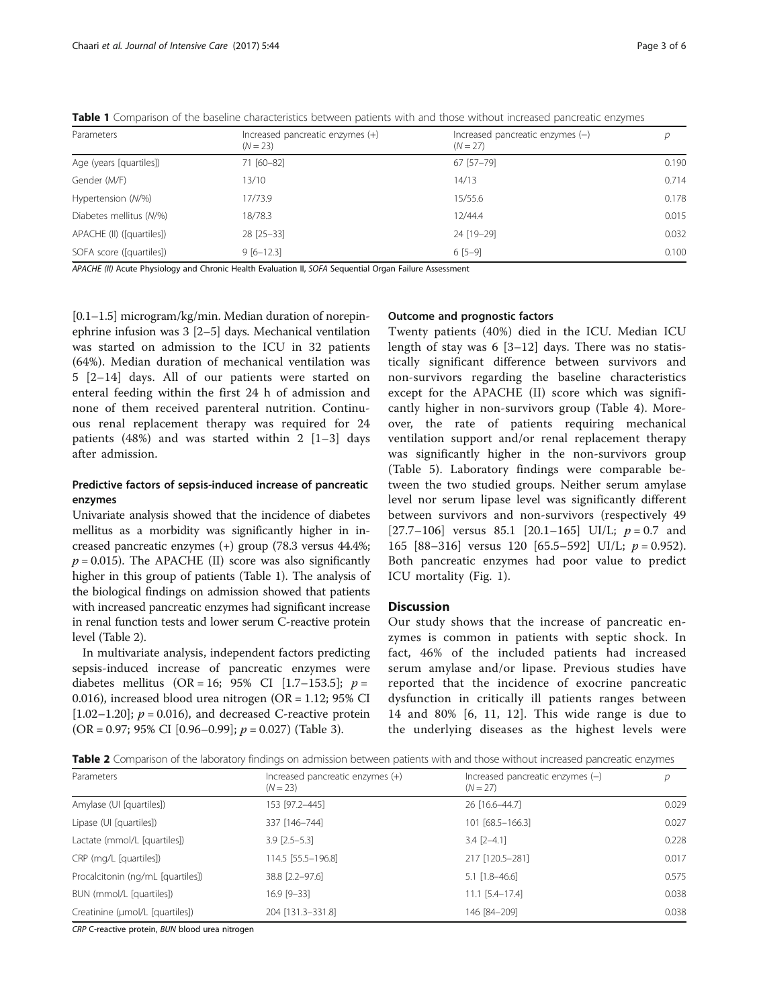| Parameters                | Increased pancreatic enzymes (+)<br>$(N = 23)$ | Increased pancreatic enzymes $(-)$<br>$(N = 27)$ | D     |
|---------------------------|------------------------------------------------|--------------------------------------------------|-------|
| Age (years [quartiles])   | 71 [60-82]                                     | 67 [57-79]                                       | 0.190 |
| Gender (M/F)              | 13/10                                          | 14/13                                            | 0.714 |
| Hypertension (N/%)        | 17/73.9                                        | 15/55.6                                          | 0.178 |
| Diabetes mellitus (N/%)   | 18/78.3                                        | 12/44.4                                          | 0.015 |
| APACHE (II) ([quartiles]) | 28 [25-33]                                     | 24 [19-29]                                       | 0.032 |
| SOFA score ([quartiles])  | $9[6 - 12.3]$                                  | $6[5-9]$                                         | 0.100 |

Table 1 Comparison of the baseline characteristics between patients with and those without increased pancreatic enzymes

APACHE (II) Acute Physiology and Chronic Health Evaluation II, SOFA Sequential Organ Failure Assessment

 $[0.1–1.5]$  microgram/kg/min. Median duration of norepinephrine infusion was 3 [[2](#page-5-0)–[5](#page-5-0)] days. Mechanical ventilation was started on admission to the ICU in 32 patients (64%). Median duration of mechanical ventilation was 5 [[2](#page-5-0)–[14](#page-5-0)] days. All of our patients were started on enteral feeding within the first 24 h of admission and none of them received parenteral nutrition. Continuous renal replacement therapy was required for 24 patients  $(48%)$  and was started within 2  $[1-3]$  $[1-3]$  $[1-3]$  $[1-3]$  days after admission.

# Predictive factors of sepsis-induced increase of pancreatic enzymes

Univariate analysis showed that the incidence of diabetes mellitus as a morbidity was significantly higher in increased pancreatic enzymes (+) group (78.3 versus 44.4%;  $p = 0.015$ ). The APACHE (II) score was also significantly higher in this group of patients (Table 1). The analysis of the biological findings on admission showed that patients with increased pancreatic enzymes had significant increase in renal function tests and lower serum C-reactive protein level (Table 2).

In multivariate analysis, independent factors predicting sepsis-induced increase of pancreatic enzymes were diabetes mellitus (OR = 16; 95% CI [1.7-153.5];  $p =$ 0.016), increased blood urea nitrogen (OR = 1.12; 95% CI [1.02–1.20];  $p = 0.016$ ), and decreased C-reactive protein  $(OR = 0.97; 95\% \text{ CI } [0.96 - 0.99]; p = 0.027) \text{ (Table 3).}$  $(OR = 0.97; 95\% \text{ CI } [0.96 - 0.99]; p = 0.027) \text{ (Table 3).}$  $(OR = 0.97; 95\% \text{ CI } [0.96 - 0.99]; p = 0.027) \text{ (Table 3).}$ 

#### Outcome and prognostic factors

Twenty patients (40%) died in the ICU. Median ICU length of stay was 6 [\[3](#page-5-0)–[12](#page-5-0)] days. There was no statistically significant difference between survivors and non-survivors regarding the baseline characteristics except for the APACHE (II) score which was significantly higher in non-survivors group (Table [4\)](#page-3-0). Moreover, the rate of patients requiring mechanical ventilation support and/or renal replacement therapy was significantly higher in the non-survivors group (Table [5\)](#page-4-0). Laboratory findings were comparable between the two studied groups. Neither serum amylase level nor serum lipase level was significantly different between survivors and non-survivors (respectively 49 [27.7–106] versus 85.1 [20.1–165] UI/L;  $p = 0.7$  and 165 [88-316] versus 120 [65.5-592] UI/L;  $p = 0.952$ ). Both pancreatic enzymes had poor value to predict ICU mortality (Fig. [1](#page-4-0)).

## **Discussion**

Our study shows that the increase of pancreatic enzymes is common in patients with septic shock. In fact, 46% of the included patients had increased serum amylase and/or lipase. Previous studies have reported that the incidence of exocrine pancreatic dysfunction in critically ill patients ranges between 14 and 80% [[6](#page-5-0), [11](#page-5-0), [12\]](#page-5-0). This wide range is due to the underlying diseases as the highest levels were

Table 2 Comparison of the laboratory findings on admission between patients with and those without increased pancreatic enzymes

| Parameters                        | Increased pancreatic enzymes $(+)$<br>$(N = 23)$ | Increased pancreatic enzymes $(-)$<br>$(N = 27)$ | р     |
|-----------------------------------|--------------------------------------------------|--------------------------------------------------|-------|
| Amylase (UI [quartiles])          | 153 [97.2-445]                                   | 26 [16.6-44.7]                                   | 0.029 |
| Lipase (UI [quartiles])           | 337 [146-744]                                    | 101 [68.5-166.3]                                 | 0.027 |
| Lactate (mmol/L [quartiles])      | $3.9$ $[2.5 - 5.3]$                              | $3.4$ $[2-4.1]$                                  | 0.228 |
| CRP (mg/L [quartiles])            | 114.5 [55.5-196.8]                               | 217 [120.5-281]                                  | 0.017 |
| Procalcitonin (ng/mL [quartiles]) | 38.8 [2.2-97.6]                                  | $5.1$ $[1.8 - 46.6]$                             | 0.575 |
| BUN (mmol/L [quartiles])          | $16.9$ [9-33]                                    | $11.1$ [5.4-17.4]                                | 0.038 |
| Creatinine (umol/L [quartiles])   | 204 [131.3-331.8]                                | 146 [84-209]                                     | 0.038 |

CRP C-reactive protein, BUN blood urea nitrogen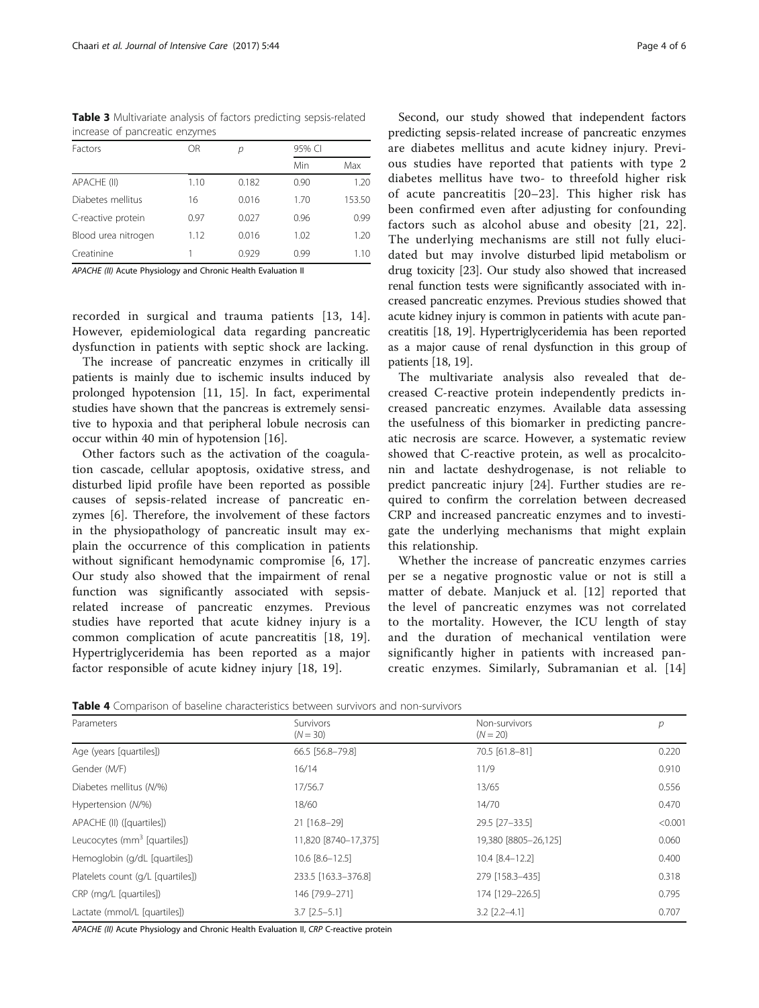<span id="page-3-0"></span>Table 3 Multivariate analysis of factors predicting sepsis-related increase of pancreatic enzymes

| Factors             | OR   | р     | 95% CI |        |  |
|---------------------|------|-------|--------|--------|--|
|                     |      |       | Min    | Max    |  |
| APACHE (II)         | 1.10 | 0.182 | 0.90   | 1.20   |  |
| Diabetes mellitus   | 16   | 0.016 | 1.70   | 153.50 |  |
| C-reactive protein  | 0.97 | 0.027 | 0.96   | 0.99   |  |
| Blood urea nitrogen | 1.12 | 0.016 | 1.02   | 1.20   |  |
| Creatinine          |      | 0.929 | 0.99   | 1.10   |  |

APACHE (II) Acute Physiology and Chronic Health Evaluation II

recorded in surgical and trauma patients [[13](#page-5-0), [14](#page-5-0)]. However, epidemiological data regarding pancreatic dysfunction in patients with septic shock are lacking.

The increase of pancreatic enzymes in critically ill patients is mainly due to ischemic insults induced by prolonged hypotension [\[11](#page-5-0), [15\]](#page-5-0). In fact, experimental studies have shown that the pancreas is extremely sensitive to hypoxia and that peripheral lobule necrosis can occur within 40 min of hypotension [\[16](#page-5-0)].

Other factors such as the activation of the coagulation cascade, cellular apoptosis, oxidative stress, and disturbed lipid profile have been reported as possible causes of sepsis-related increase of pancreatic enzymes [[6\]](#page-5-0). Therefore, the involvement of these factors in the physiopathology of pancreatic insult may explain the occurrence of this complication in patients without significant hemodynamic compromise [\[6](#page-5-0), [17](#page-5-0)]. Our study also showed that the impairment of renal function was significantly associated with sepsisrelated increase of pancreatic enzymes. Previous studies have reported that acute kidney injury is a common complication of acute pancreatitis [\[18](#page-5-0), [19](#page-5-0)]. Hypertriglyceridemia has been reported as a major factor responsible of acute kidney injury [[18, 19\]](#page-5-0).

Second, our study showed that independent factors predicting sepsis-related increase of pancreatic enzymes are diabetes mellitus and acute kidney injury. Previous studies have reported that patients with type 2 diabetes mellitus have two- to threefold higher risk of acute pancreatitis [[20](#page-5-0)–[23](#page-5-0)]. This higher risk has been confirmed even after adjusting for confounding factors such as alcohol abuse and obesity [[21, 22](#page-5-0)]. The underlying mechanisms are still not fully elucidated but may involve disturbed lipid metabolism or drug toxicity [[23](#page-5-0)]. Our study also showed that increased renal function tests were significantly associated with increased pancreatic enzymes. Previous studies showed that acute kidney injury is common in patients with acute pancreatitis [[18](#page-5-0), [19\]](#page-5-0). Hypertriglyceridemia has been reported as a major cause of renal dysfunction in this group of patients [\[18, 19\]](#page-5-0).

The multivariate analysis also revealed that decreased C-reactive protein independently predicts increased pancreatic enzymes. Available data assessing the usefulness of this biomarker in predicting pancreatic necrosis are scarce. However, a systematic review showed that C-reactive protein, as well as procalcitonin and lactate deshydrogenase, is not reliable to predict pancreatic injury [[24](#page-5-0)]. Further studies are required to confirm the correlation between decreased CRP and increased pancreatic enzymes and to investigate the underlying mechanisms that might explain this relationship.

Whether the increase of pancreatic enzymes carries per se a negative prognostic value or not is still a matter of debate. Manjuck et al. [\[12\]](#page-5-0) reported that the level of pancreatic enzymes was not correlated to the mortality. However, the ICU length of stay and the duration of mechanical ventilation were significantly higher in patients with increased pancreatic enzymes. Similarly, Subramanian et al. [\[14](#page-5-0)]

**Table 4** Comparison of baseline characteristics between survivors and non-survivors

| Parameters                               | Survivors<br>$(N = 30)$ | Non-survivors<br>$(N = 20)$ | р       |
|------------------------------------------|-------------------------|-----------------------------|---------|
| Age (years [quartiles])                  | 66.5 [56.8-79.8]        | 70.5 [61.8-81]              | 0.220   |
| Gender (M/F)                             | 16/14                   | 11/9                        | 0.910   |
| Diabetes mellitus (N/%)                  | 17/56.7                 | 13/65                       | 0.556   |
| Hypertension (N/%)                       | 18/60                   | 14/70                       | 0.470   |
| APACHE (II) ([quartiles])                | 21 [16.8-29]            | 29.5 [27-33.5]              | < 0.001 |
| Leucocytes (mm <sup>3</sup> [quartiles]) | 11,820 [8740-17,375]    | 19,380 [8805-26,125]        | 0.060   |
| Hemoglobin (g/dL [quartiles])            | 10.6 [8.6-12.5]         | 10.4 [8.4-12.2]             | 0.400   |
| Platelets count (g/L [quartiles])        | 233.5 [163.3-376.8]     | 279 [158.3-435]             | 0.318   |
| CRP (mg/L [quartiles])                   | 146 [79.9-271]          | 174 [129-226.5]             | 0.795   |
| Lactate (mmol/L [quartiles])             | $3.7$ $[2.5 - 5.1]$     | $3.2$ $[2.2 - 4.1]$         | 0.707   |

APACHE (II) Acute Physiology and Chronic Health Evaluation II, CRP C-reactive protein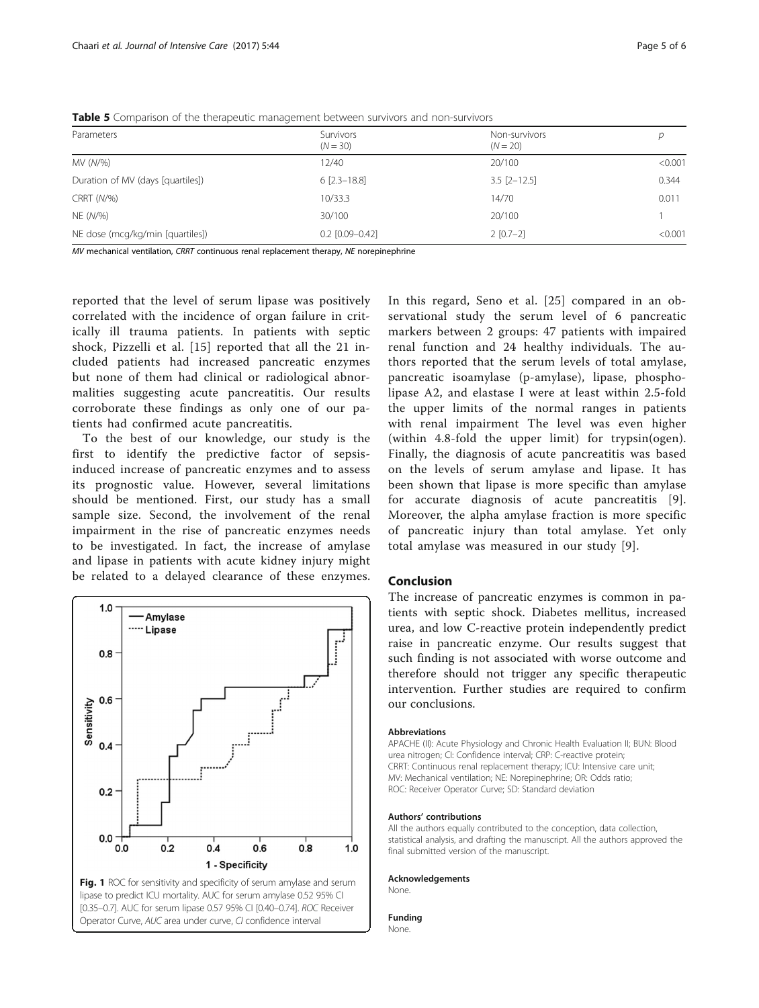| Parameters                        | Survivors<br>$(N = 30)$ | Non-survivors<br>$(N = 20)$ | D       |
|-----------------------------------|-------------------------|-----------------------------|---------|
| MV (N/%)                          | 12/40                   | 20/100                      | < 0.001 |
| Duration of MV (days [quartiles]) | $6$ [2.3-18.8]          | $3.5$ $[2-12.5]$            | 0.344   |
| CRRT (N/%)                        | 10/33.3                 | 14/70                       | 0.011   |
| NE (N/%)                          | 30/100                  | 20/100                      |         |
| NE dose (mcg/kg/min [quartiles])  | $0.2$ [0.09-0.42]       | $2 [0.7-2]$                 | < 0.001 |

<span id="page-4-0"></span>**Table 5** Comparison of the therapeutic management between survivors and non-survivors

MV mechanical ventilation, CRRT continuous renal replacement therapy, NE norepinephrine

reported that the level of serum lipase was positively correlated with the incidence of organ failure in critically ill trauma patients. In patients with septic shock, Pizzelli et al. [\[15\]](#page-5-0) reported that all the 21 included patients had increased pancreatic enzymes but none of them had clinical or radiological abnormalities suggesting acute pancreatitis. Our results corroborate these findings as only one of our patients had confirmed acute pancreatitis.

To the best of our knowledge, our study is the first to identify the predictive factor of sepsisinduced increase of pancreatic enzymes and to assess its prognostic value. However, several limitations should be mentioned. First, our study has a small sample size. Second, the involvement of the renal impairment in the rise of pancreatic enzymes needs to be investigated. In fact, the increase of amylase and lipase in patients with acute kidney injury might be related to a delayed clearance of these enzymes.



In this regard, Seno et al. [\[25\]](#page-5-0) compared in an observational study the serum level of 6 pancreatic markers between 2 groups: 47 patients with impaired renal function and 24 healthy individuals. The authors reported that the serum levels of total amylase, pancreatic isoamylase (p-amylase), lipase, phospholipase A2, and elastase I were at least within 2.5-fold the upper limits of the normal ranges in patients with renal impairment The level was even higher (within 4.8-fold the upper limit) for trypsin(ogen). Finally, the diagnosis of acute pancreatitis was based on the levels of serum amylase and lipase. It has been shown that lipase is more specific than amylase for accurate diagnosis of acute pancreatitis [[9](#page-5-0)]. Moreover, the alpha amylase fraction is more specific of pancreatic injury than total amylase. Yet only total amylase was measured in our study [[9](#page-5-0)].

#### Conclusion

The increase of pancreatic enzymes is common in patients with septic shock. Diabetes mellitus, increased urea, and low C-reactive protein independently predict raise in pancreatic enzyme. Our results suggest that such finding is not associated with worse outcome and therefore should not trigger any specific therapeutic intervention. Further studies are required to confirm our conclusions.

#### Abbreviations

APACHE (II): Acute Physiology and Chronic Health Evaluation II; BUN: Blood urea nitrogen; CI: Confidence interval; CRP: C-reactive protein; CRRT: Continuous renal replacement therapy; ICU: Intensive care unit; MV: Mechanical ventilation; NE: Norepinephrine; OR: Odds ratio; ROC: Receiver Operator Curve; SD: Standard deviation

#### Authors' contributions

All the authors equally contributed to the conception, data collection, statistical analysis, and drafting the manuscript. All the authors approved the final submitted version of the manuscript.

#### Acknowledgements

None.

# Funding

None.